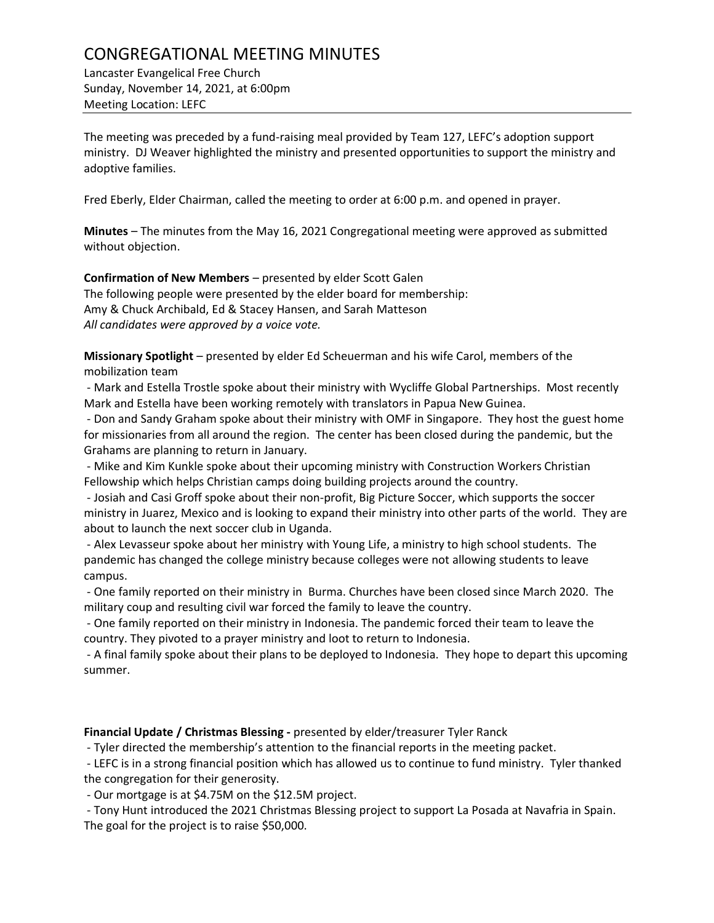## CONGREGATIONAL MEETING MINUTES

Lancaster Evangelical Free Church Sunday, November 14, 2021, at 6:00pm Meeting Location: LEFC

The meeting was preceded by a fund-raising meal provided by Team 127, LEFC's adoption support ministry. DJ Weaver highlighted the ministry and presented opportunities to support the ministry and adoptive families.

Fred Eberly, Elder Chairman, called the meeting to order at 6:00 p.m. and opened in prayer.

**Minutes** – The minutes from the May 16, 2021 Congregational meeting were approved as submitted without objection.

**Confirmation of New Members** – presented by elder Scott Galen

The following people were presented by the elder board for membership: Amy & Chuck Archibald, Ed & Stacey Hansen, and Sarah Matteson *All candidates were approved by a voice vote.*

**Missionary Spotlight** – presented by elder Ed Scheuerman and his wife Carol, members of the mobilization team

- Mark and Estella Trostle spoke about their ministry with Wycliffe Global Partnerships. Most recently Mark and Estella have been working remotely with translators in Papua New Guinea.

- Don and Sandy Graham spoke about their ministry with OMF in Singapore. They host the guest home for missionaries from all around the region. The center has been closed during the pandemic, but the Grahams are planning to return in January.

- Mike and Kim Kunkle spoke about their upcoming ministry with Construction Workers Christian Fellowship which helps Christian camps doing building projects around the country.

- Josiah and Casi Groff spoke about their non-profit, Big Picture Soccer, which supports the soccer ministry in Juarez, Mexico and is looking to expand their ministry into other parts of the world. They are about to launch the next soccer club in Uganda.

- Alex Levasseur spoke about her ministry with Young Life, a ministry to high school students. The pandemic has changed the college ministry because colleges were not allowing students to leave campus.

- One family reported on their ministry in Burma. Churches have been closed since March 2020. The military coup and resulting civil war forced the family to leave the country.

- One family reported on their ministry in Indonesia. The pandemic forced their team to leave the country. They pivoted to a prayer ministry and loot to return to Indonesia.

- A final family spoke about their plans to be deployed to Indonesia. They hope to depart this upcoming summer.

**Financial Update / Christmas Blessing -** presented by elder/treasurer Tyler Ranck

- Tyler directed the membership's attention to the financial reports in the meeting packet.

- LEFC is in a strong financial position which has allowed us to continue to fund ministry. Tyler thanked the congregation for their generosity.

- Our mortgage is at \$4.75M on the \$12.5M project.

- Tony Hunt introduced the 2021 Christmas Blessing project to support La Posada at Navafria in Spain. The goal for the project is to raise \$50,000.